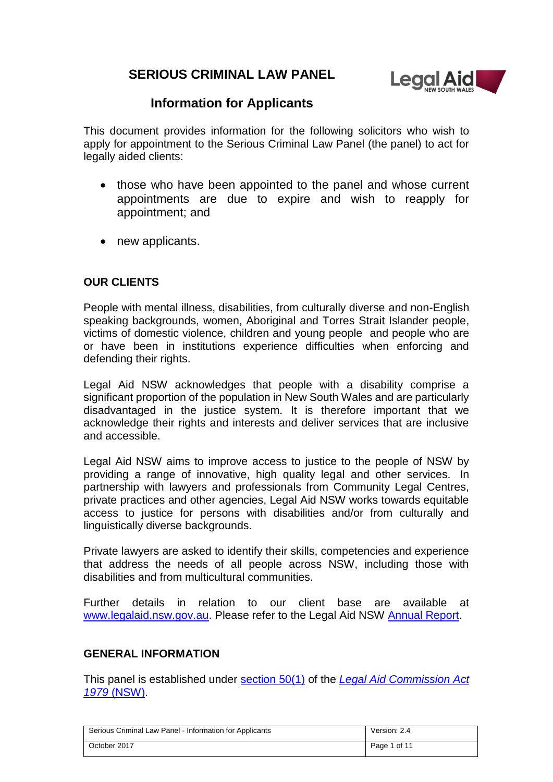# **SERIOUS CRIMINAL LAW PANEL**



# **Information for Applicants**

This document provides information for the following solicitors who wish to apply for appointment to the Serious Criminal Law Panel (the panel) to act for legally aided clients:

- those who have been appointed to the panel and whose current appointments are due to expire and wish to reapply for appointment; and
- new applicants.

# **OUR CLIENTS**

People with mental illness, disabilities, from culturally diverse and non-English speaking backgrounds, women, Aboriginal and Torres Strait Islander people, victims of domestic violence, children and young people and people who are or have been in institutions experience difficulties when enforcing and defending their rights.

Legal Aid NSW acknowledges that people with a disability comprise a significant proportion of the population in New South Wales and are particularly disadvantaged in the justice system. It is therefore important that we acknowledge their rights and interests and deliver services that are inclusive and accessible.

Legal Aid NSW aims to improve access to justice to the people of NSW by providing a range of innovative, high quality legal and other services. In partnership with lawyers and professionals from Community Legal Centres, private practices and other agencies, Legal Aid NSW works towards equitable access to justice for persons with disabilities and/or from culturally and linguistically diverse backgrounds.

Private lawyers are asked to identify their skills, competencies and experience that address the needs of all people across NSW, including those with disabilities and from multicultural communities.

Further details in relation to our client base are available at [www.legalaid.nsw.gov.au.](http://www.legalaid.nsw.gov.au/) Please refer to the Legal Aid NSW [Annual Report.](http://www.legalaid.nsw.gov.au/publications/annual-reports)

### **GENERAL INFORMATION**

This panel is established under [section 50\(1\)](http://www.legalaid.nsw.gov.au/for-lawyers/policyonline/policies/2.-legal-aid-commission-act/2.4.-part-3-provision-of-legal-aid#2.4.30 Section 50 - Panels of private legal) of the *[Legal Aid Commission Act](http://www.legalaid.nsw.gov.au/for-lawyers/policyonline/policies/2.-legal-aid-commission-act/2.4.-part-3-provision-of-legal-aid)  1979* [\(NSW\).](http://www.legalaid.nsw.gov.au/for-lawyers/policyonline/policies/2.-legal-aid-commission-act/2.4.-part-3-provision-of-legal-aid)

| Serious Criminal Law Panel - Information for Applicants | Version: 2.4 |
|---------------------------------------------------------|--------------|
| October 2017                                            | Page 1 of 11 |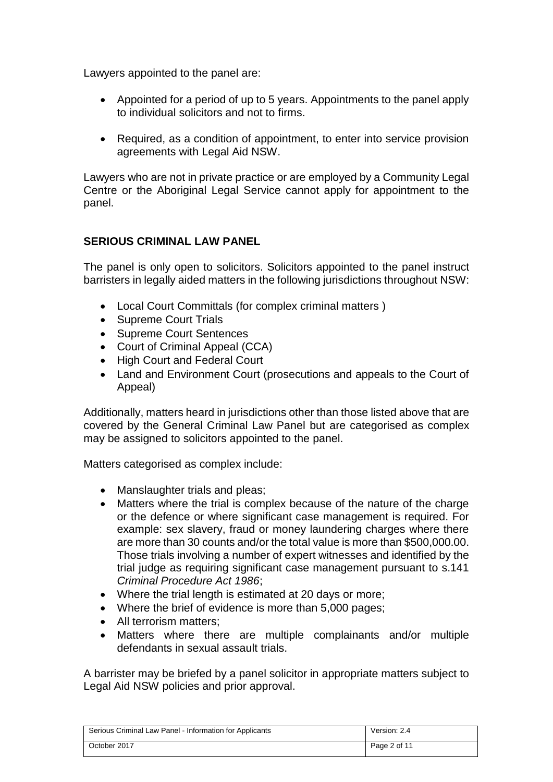Lawyers appointed to the panel are:

- Appointed for a period of up to 5 years. Appointments to the panel apply to individual solicitors and not to firms.
- Required, as a condition of appointment, to enter into service provision agreements with Legal Aid NSW.

Lawyers who are not in private practice or are employed by a Community Legal Centre or the Aboriginal Legal Service cannot apply for appointment to the panel.

# **SERIOUS CRIMINAL LAW PANEL**

The panel is only open to solicitors. Solicitors appointed to the panel instruct barristers in legally aided matters in the following jurisdictions throughout NSW:

- Local Court Committals (for complex criminal matters )
- Supreme Court Trials
- Supreme Court Sentences
- Court of Criminal Appeal (CCA)
- High Court and Federal Court
- Land and Environment Court (prosecutions and appeals to the Court of Appeal)

Additionally, matters heard in jurisdictions other than those listed above that are covered by the General Criminal Law Panel but are categorised as complex may be assigned to solicitors appointed to the panel.

Matters categorised as complex include:

- Manslaughter trials and pleas;
- Matters where the trial is complex because of the nature of the charge or the defence or where significant case management is required. For example: sex slavery, fraud or money laundering charges where there are more than 30 counts and/or the total value is more than \$500,000.00. Those trials involving a number of expert witnesses and identified by the trial judge as requiring significant case management pursuant to s.141 *Criminal Procedure Act 1986*;
- Where the trial length is estimated at 20 days or more;
- Where the brief of evidence is more than 5,000 pages;
- All terrorism matters:
- Matters where there are multiple complainants and/or multiple defendants in sexual assault trials.

A barrister may be briefed by a panel solicitor in appropriate matters subject to Legal Aid NSW policies and prior approval.

| Serious Criminal Law Panel - Information for Applicants | Version: 2.4 |
|---------------------------------------------------------|--------------|
| October 2017                                            | Page 2 of 11 |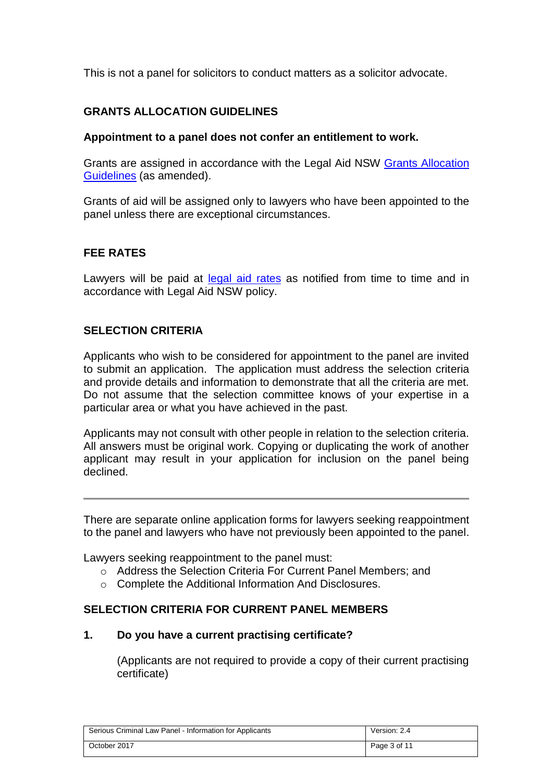This is not a panel for solicitors to conduct matters as a solicitor advocate.

# **GRANTS ALLOCATION GUIDELINES**

#### **Appointment to a panel does not confer an entitlement to work.**

Grants are assigned in accordance with the Legal Aid NSW Grants Allocation [Guidelines](http://www.legalaid.nsw.gov.au/for-lawyers/panels,-audit-and-practice-standards/panels-information/grants-allocation-guidelines) (as amended).

Grants of aid will be assigned only to lawyers who have been appointed to the panel unless there are exceptional circumstances.

### **FEE RATES**

Lawyers will be paid at [legal aid](http://www.legalaid.nsw.gov.au/for-lawyers/fee-scales) rates as notified from time to time and in accordance with Legal Aid NSW policy.

### **SELECTION CRITERIA**

Applicants who wish to be considered for appointment to the panel are invited to submit an application. The application must address the selection criteria and provide details and information to demonstrate that all the criteria are met. Do not assume that the selection committee knows of your expertise in a particular area or what you have achieved in the past.

Applicants may not consult with other people in relation to the selection criteria. All answers must be original work. Copying or duplicating the work of another applicant may result in your application for inclusion on the panel being declined.

There are separate online application forms for lawyers seeking reappointment to the panel and lawyers who have not previously been appointed to the panel.

Lawyers seeking reappointment to the panel must:

- o Address the Selection Criteria For Current Panel Members; and
- o Complete the Additional Information And Disclosures.

### **SELECTION CRITERIA FOR CURRENT PANEL MEMBERS**

### **1. Do you have a current practising certificate?**

(Applicants are not required to provide a copy of their current practising certificate)

| Serious Criminal Law Panel - Information for Applicants | Version: 2.4 |
|---------------------------------------------------------|--------------|
| October 2017                                            | Page 3 of 11 |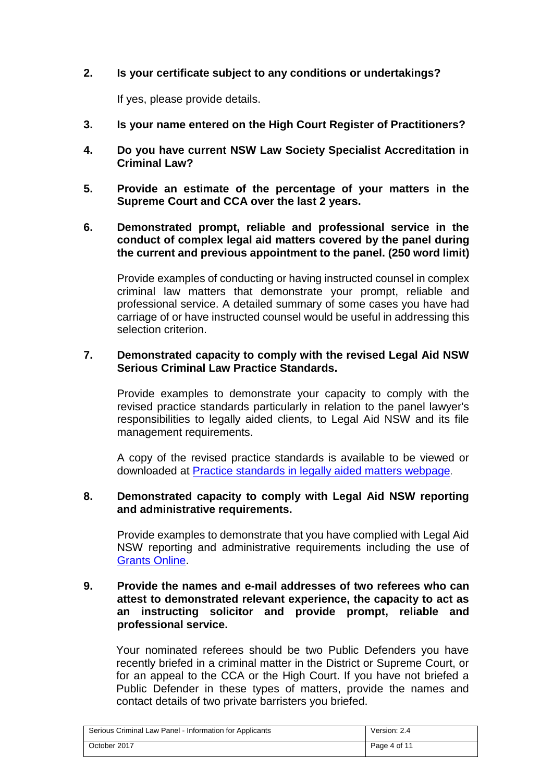### **2. Is your certificate subject to any conditions or undertakings?**

If yes, please provide details.

- **3. Is your name entered on the High Court Register of Practitioners?**
- **4. Do you have current NSW Law Society Specialist Accreditation in Criminal Law?**
- **5. Provide an estimate of the percentage of your matters in the Supreme Court and CCA over the last 2 years.**
- **6. Demonstrated prompt, reliable and professional service in the conduct of complex legal aid matters covered by the panel during the current and previous appointment to the panel. (250 word limit)**

Provide examples of conducting or having instructed counsel in complex criminal law matters that demonstrate your prompt, reliable and professional service. A detailed summary of some cases you have had carriage of or have instructed counsel would be useful in addressing this selection criterion.

#### **7. Demonstrated capacity to comply with the revised Legal Aid NSW Serious Criminal Law Practice Standards.**

Provide examples to demonstrate your capacity to comply with the revised practice standards particularly in relation to the panel lawyer's responsibilities to legally aided clients, to Legal Aid NSW and its file management requirements.

A copy of the revised practice standards is available to be viewed or downloaded at [Practice standards in legally aided matters webpage](http://www.legalaid.nsw.gov.au/for-lawyers/panels,-audit-and-practice-standards/panels-practice-standards/).

### **8. Demonstrated capacity to comply with Legal Aid NSW reporting and administrative requirements.**

Provide examples to demonstrate that you have complied with Legal Aid NSW reporting and administrative requirements including the use of [Grants Online.](https://elodge.legalaid.nsw.gov.au/gmwebprd/login.aspx)

#### **9. Provide the names and e-mail addresses of two referees who can attest to demonstrated relevant experience, the capacity to act as an instructing solicitor and provide prompt, reliable and professional service.**

Your nominated referees should be two Public Defenders you have recently briefed in a criminal matter in the District or Supreme Court, or for an appeal to the CCA or the High Court. If you have not briefed a Public Defender in these types of matters, provide the names and contact details of two private barristers you briefed.

| Serious Criminal Law Panel - Information for Applicants | Version: 2.4 |
|---------------------------------------------------------|--------------|
| October 2017                                            | Page 4 of 11 |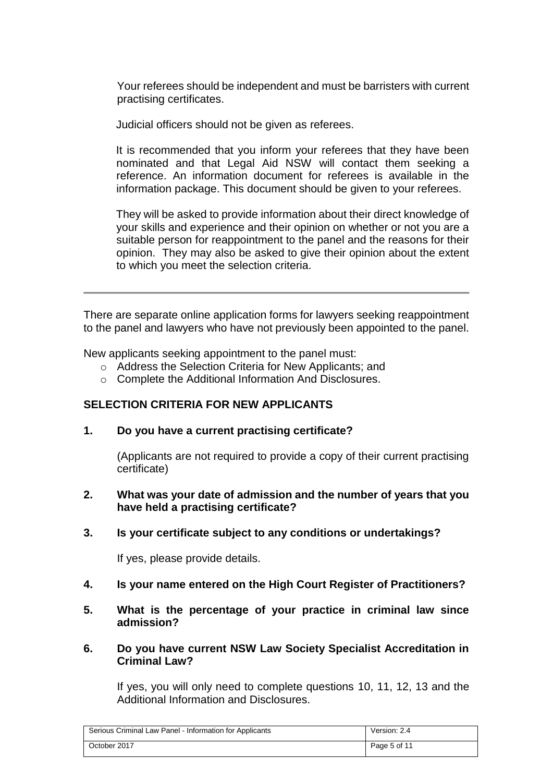Your referees should be independent and must be barristers with current practising certificates.

Judicial officers should not be given as referees.

It is recommended that you inform your referees that they have been nominated and that Legal Aid NSW will contact them seeking a reference. An information document for referees is available in the information package. This document should be given to your referees.

They will be asked to provide information about their direct knowledge of your skills and experience and their opinion on whether or not you are a suitable person for reappointment to the panel and the reasons for their opinion. They may also be asked to give their opinion about the extent to which you meet the selection criteria.

There are separate online application forms for lawyers seeking reappointment to the panel and lawyers who have not previously been appointed to the panel.

New applicants seeking appointment to the panel must:

- o Address the Selection Criteria for New Applicants; and
- o Complete the Additional Information And Disclosures.

### **SELECTION CRITERIA FOR NEW APPLICANTS**

**1. Do you have a current practising certificate?** 

(Applicants are not required to provide a copy of their current practising certificate)

- **2. What was your date of admission and the number of years that you have held a practising certificate?**
- **3. Is your certificate subject to any conditions or undertakings?**

If yes, please provide details.

- **4. Is your name entered on the High Court Register of Practitioners?**
- **5. What is the percentage of your practice in criminal law since admission?**

#### **6. Do you have current NSW Law Society Specialist Accreditation in Criminal Law?**

If yes, you will only need to complete questions 10, 11, 12, 13 and the Additional Information and Disclosures.

| Serious Criminal Law Panel - Information for Applicants | Version: 2.4 |
|---------------------------------------------------------|--------------|
| October 2017                                            | Page 5 of 11 |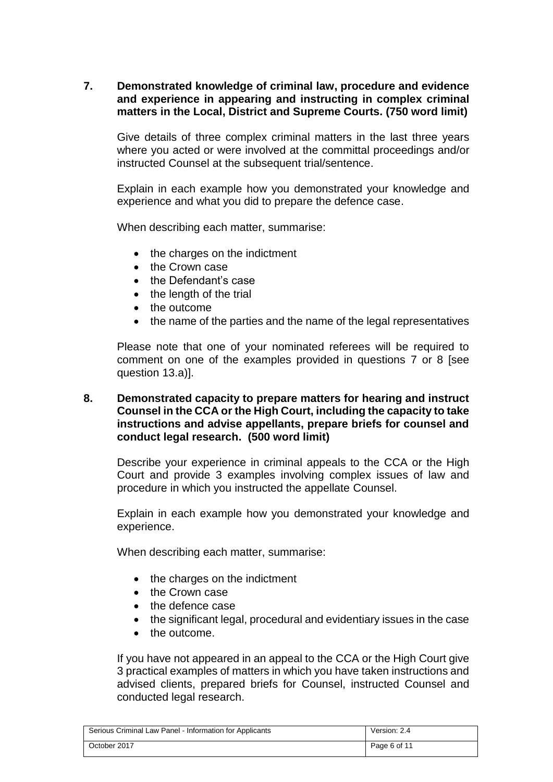### **7. Demonstrated knowledge of criminal law, procedure and evidence and experience in appearing and instructing in complex criminal matters in the Local, District and Supreme Courts. (750 word limit)**

Give details of three complex criminal matters in the last three years where you acted or were involved at the committal proceedings and/or instructed Counsel at the subsequent trial/sentence.

Explain in each example how you demonstrated your knowledge and experience and what you did to prepare the defence case.

When describing each matter, summarise:

- the charges on the indictment
- the Crown case
- the Defendant's case
- $\bullet$  the length of the trial
- the outcome
- the name of the parties and the name of the legal representatives

Please note that one of your nominated referees will be required to comment on one of the examples provided in questions 7 or 8 [see question 13.a)].

#### **8. Demonstrated capacity to prepare matters for hearing and instruct Counsel in the CCA or the High Court, including the capacity to take instructions and advise appellants, prepare briefs for counsel and conduct legal research. (500 word limit)**

Describe your experience in criminal appeals to the CCA or the High Court and provide 3 examples involving complex issues of law and procedure in which you instructed the appellate Counsel.

Explain in each example how you demonstrated your knowledge and experience.

When describing each matter, summarise:

- the charges on the indictment
- the Crown case
- the defence case
- the significant legal, procedural and evidentiary issues in the case
- the outcome.

If you have not appeared in an appeal to the CCA or the High Court give 3 practical examples of matters in which you have taken instructions and advised clients, prepared briefs for Counsel, instructed Counsel and conducted legal research.

| Serious Criminal Law Panel - Information for Applicants | Version: 2.4 |
|---------------------------------------------------------|--------------|
| October 2017                                            | Page 6 of 11 |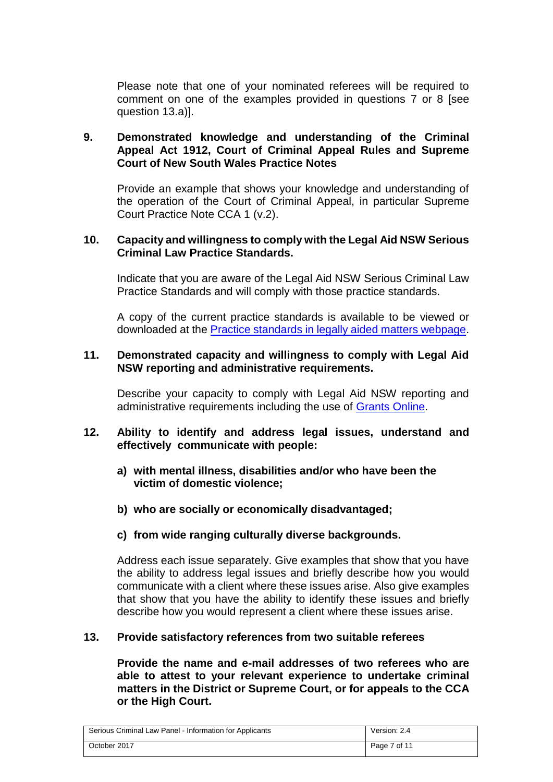Please note that one of your nominated referees will be required to comment on one of the examples provided in questions 7 or 8 [see question 13.a)].

### **9. Demonstrated knowledge and understanding of the Criminal Appeal Act 1912, Court of Criminal Appeal Rules and Supreme Court of New South Wales Practice Notes**

Provide an example that shows your knowledge and understanding of the operation of the Court of Criminal Appeal, in particular Supreme Court Practice Note CCA 1 (v.2).

#### **10. Capacity and willingness to comply with the Legal Aid NSW Serious Criminal Law Practice Standards.**

Indicate that you are aware of the Legal Aid NSW Serious Criminal Law Practice Standards and will comply with those practice standards.

A copy of the current practice standards is available to be viewed or downloaded at the [Practice standards in legally aided matters webpage.](http://www.legalaid.nsw.gov.au/for-lawyers/panels,-audit-and-practice-standards/panels-practice-standards/_admin)

#### **11. Demonstrated capacity and willingness to comply with Legal Aid NSW reporting and administrative requirements.**

Describe your capacity to comply with Legal Aid NSW reporting and administrative requirements including the use of [Grants Online.](https://elodge.legalaid.nsw.gov.au/gmwebprd/login.aspx)

### **12. Ability to identify and address legal issues, understand and effectively communicate with people:**

- **a) with mental illness, disabilities and/or who have been the victim of domestic violence;**
- **b) who are socially or economically disadvantaged;**

### **c) from wide ranging culturally diverse backgrounds.**

Address each issue separately. Give examples that show that you have the ability to address legal issues and briefly describe how you would communicate with a client where these issues arise. Also give examples that show that you have the ability to identify these issues and briefly describe how you would represent a client where these issues arise.

### **13. Provide satisfactory references from two suitable referees**

**Provide the name and e-mail addresses of two referees who are able to attest to your relevant experience to undertake criminal matters in the District or Supreme Court, or for appeals to the CCA or the High Court.**

| Serious Criminal Law Panel - Information for Applicants | Version: 2.4 |
|---------------------------------------------------------|--------------|
| October 2017                                            | Page 7 of 11 |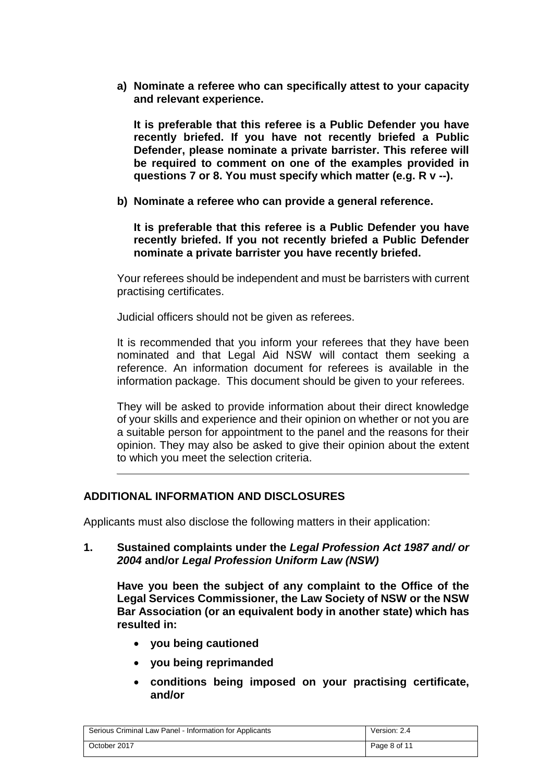**a) Nominate a referee who can specifically attest to your capacity and relevant experience.** 

**It is preferable that this referee is a Public Defender you have recently briefed. If you have not recently briefed a Public Defender, please nominate a private barrister. This referee will be required to comment on one of the examples provided in questions 7 or 8. You must specify which matter (e.g. R v --).** 

**b) Nominate a referee who can provide a general reference.** 

**It is preferable that this referee is a Public Defender you have recently briefed. If you not recently briefed a Public Defender nominate a private barrister you have recently briefed.**

Your referees should be independent and must be barristers with current practising certificates.

Judicial officers should not be given as referees.

It is recommended that you inform your referees that they have been nominated and that Legal Aid NSW will contact them seeking a reference. An information document for referees is available in the information package. This document should be given to your referees.

They will be asked to provide information about their direct knowledge of your skills and experience and their opinion on whether or not you are a suitable person for appointment to the panel and the reasons for their opinion. They may also be asked to give their opinion about the extent to which you meet the selection criteria.

### **ADDITIONAL INFORMATION AND DISCLOSURES**

Applicants must also disclose the following matters in their application:

**1. Sustained complaints under the** *Legal Profession Act 1987 and/ or 2004* **and/or** *Legal Profession Uniform Law (NSW)*

**Have you been the subject of any complaint to the Office of the Legal Services Commissioner, the Law Society of NSW or the NSW Bar Association (or an equivalent body in another state) which has resulted in:**

- **you being cautioned**
- **you being reprimanded**
- **conditions being imposed on your practising certificate, and/or**

| Serious Criminal Law Panel - Information for Applicants | Version: 2.4 |
|---------------------------------------------------------|--------------|
| October 2017                                            | Page 8 of 11 |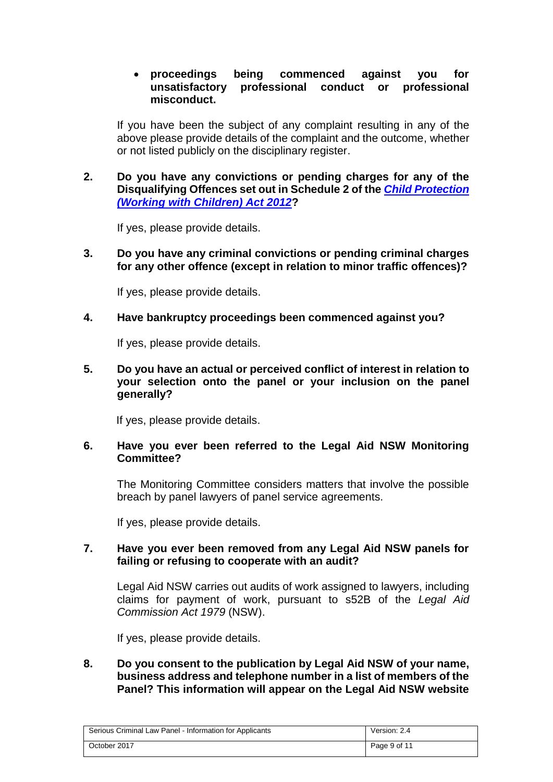### **proceedings being commenced against you for unsatisfactory professional conduct or professional misconduct.**

If you have been the subject of any complaint resulting in any of the above please provide details of the complaint and the outcome, whether or not listed publicly on the disciplinary register.

**2. Do you have any convictions or pending charges for any of the Disqualifying Offences set out in Schedule 2 of the** *[Child Protection](http://www.legislation.nsw.gov.au/maintop/view/inforce/act+51+2012+cd+0+N)  [\(Working with Children\) Act 2012](http://www.legislation.nsw.gov.au/maintop/view/inforce/act+51+2012+cd+0+N)***?**

If yes, please provide details.

**3. Do you have any criminal convictions or pending criminal charges for any other offence (except in relation to minor traffic offences)?**

If yes, please provide details.

#### **4. Have bankruptcy proceedings been commenced against you?**

If yes, please provide details.

**5. Do you have an actual or perceived conflict of interest in relation to your selection onto the panel or your inclusion on the panel generally?**

If yes, please provide details.

#### **6. Have you ever been referred to the Legal Aid NSW Monitoring Committee?**

The Monitoring Committee considers matters that involve the possible breach by panel lawyers of panel service agreements.

If yes, please provide details.

#### **7. Have you ever been removed from any Legal Aid NSW panels for failing or refusing to cooperate with an audit?**

Legal Aid NSW carries out audits of work assigned to lawyers, including claims for payment of work, pursuant to s52B of the *Legal Aid Commission Act 1979* (NSW).

If yes, please provide details.

**8. Do you consent to the publication by Legal Aid NSW of your name, business address and telephone number in a list of members of the Panel? This information will appear on the Legal Aid NSW website** 

| Serious Criminal Law Panel - Information for Applicants | Version: 2.4 |
|---------------------------------------------------------|--------------|
| October 2017                                            | Page 9 of 11 |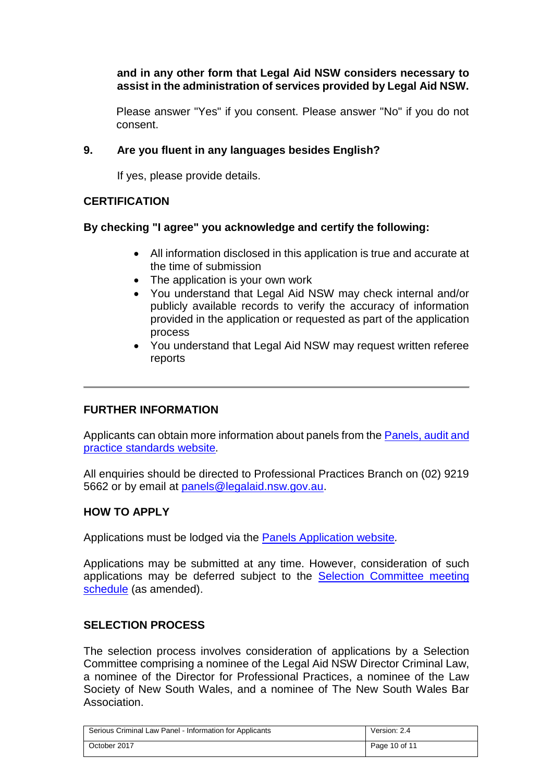### **and in any other form that Legal Aid NSW considers necessary to assist in the administration of services provided by Legal Aid NSW.**

Please answer "Yes" if you consent. Please answer "No" if you do not consent.

### **9. Are you fluent in any languages besides English?**

If yes, please provide details.

# **CERTIFICATION**

### **By checking "I agree" you acknowledge and certify the following:**

- All information disclosed in this application is true and accurate at the time of submission
- The application is your own work
- You understand that Legal Aid NSW may check internal and/or publicly available records to verify the accuracy of information provided in the application or requested as part of the application process
- You understand that Legal Aid NSW may request written referee reports

# **FURTHER INFORMATION**

Applicants can obtain more information about panels from the [Panels, audit and](http://www.legalaid.nsw.gov.au/for-lawyers/panels,-audit-and-practice-standards/how-to-apply-to-a-panel/_edit)  [practice standards website](http://www.legalaid.nsw.gov.au/for-lawyers/panels,-audit-and-practice-standards/how-to-apply-to-a-panel/_edit)*.*

All enquiries should be directed to Professional Practices Branch on (02) 9219 5662 or by email at [panels@legalaid.nsw.gov.au.](mailto:panels@legalaid.nsw.gov.au)

# **HOW TO APPLY**

Applications must be lodged via the [Panels Application website](https://panels.legalaid.nsw.gov.au/)*.*

Applications may be submitted at any time. However, consideration of such applications may be deferred subject to the [Selection Committee meeting](http://www.legalaid.nsw.gov.au/for-lawyers/panels-audit-and-practice-standards/panels-information/Form-availability-and-scheduling/)  [schedule](http://www.legalaid.nsw.gov.au/for-lawyers/panels-audit-and-practice-standards/panels-information/Form-availability-and-scheduling/) (as amended).

### **SELECTION PROCESS**

The selection process involves consideration of applications by a Selection Committee comprising a nominee of the Legal Aid NSW Director Criminal Law, a nominee of the Director for Professional Practices, a nominee of the Law Society of New South Wales, and a nominee of The New South Wales Bar Association.

| Serious Criminal Law Panel - Information for Applicants | Version: 2.4  |
|---------------------------------------------------------|---------------|
| October 2017                                            | Page 10 of 11 |